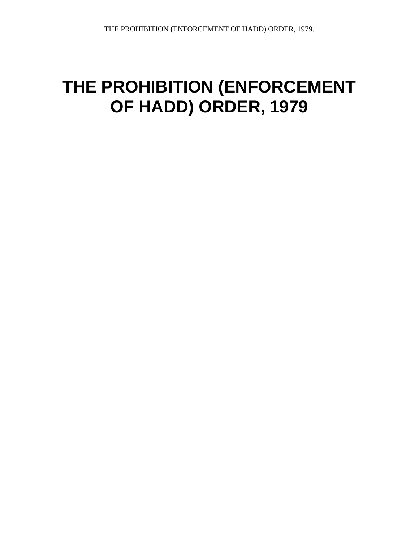# **THE PROHIBITION (ENFORCEMENT OF HADD) ORDER, 1979**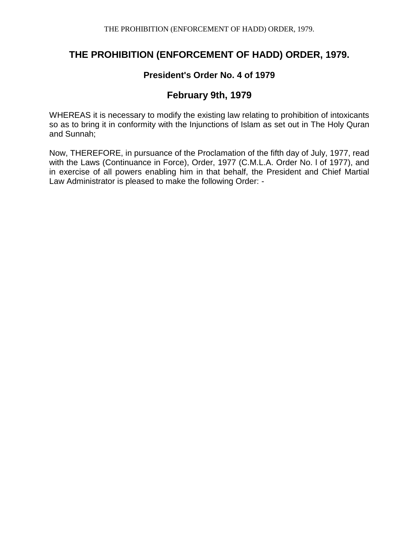## **THE PROHIBITION (ENFORCEMENT OF HADD) ORDER, 1979.**

#### **President's Order No. 4 of 1979**

#### **February 9th, 1979**

WHEREAS it is necessary to modify the existing law relating to prohibition of intoxicants so as to bring it in conformity with the Injunctions of Islam as set out in The Holy Quran and Sunnah;

Now, THEREFORE, in pursuance of the Proclamation of the fifth day of July, 1977, read with the Laws (Continuance in Force), Order, 1977 (C.M.L.A. Order No. l of 1977), and in exercise of all powers enabling him in that behalf, the President and Chief Martial Law Administrator is pleased to make the following Order: -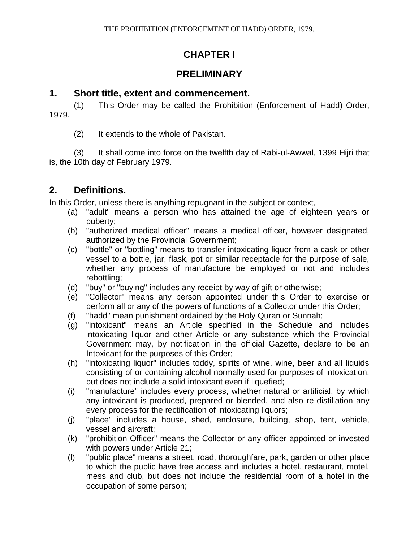## **CHAPTER I**

#### **PRELIMINARY**

#### **1. Short title, extent and commencement.**

(1) This Order may be called the Prohibition (Enforcement of Hadd) Order, 1979.

(2) It extends to the whole of Pakistan.

(3) It shall come into force on the twelfth day of Rabi-ul-Awwal, 1399 Hijri that is, the 10th day of February 1979.

## **2. Definitions.**

In this Order, unless there is anything repugnant in the subject or context, -

- (a) "adult" means a person who has attained the age of eighteen years or puberty;
- (b) "authorized medical officer" means a medical officer, however designated, authorized by the Provincial Government;
- (c) "bottle" or "bottling" means to transfer intoxicating liquor from a cask or other vessel to a bottle, jar, flask, pot or similar receptacle for the purpose of sale, whether any process of manufacture be employed or not and includes rebottling;
- (d) "buy" or "buying" includes any receipt by way of gift or otherwise;
- (e) "Collector" means any person appointed under this Order to exercise or perform all or any of the powers of functions of a Collector under this Order;
- (f) "hadd" mean punishment ordained by the Holy Quran or Sunnah;
- (g) "intoxicant" means an Article specified in the Schedule and includes intoxicating liquor and other Article or any substance which the Provincial Government may, by notification in the official Gazette, declare to be an Intoxicant for the purposes of this Order;
- (h) "intoxicating liquor" includes toddy, spirits of wine, wine, beer and all liquids consisting of or containing alcohol normally used for purposes of intoxication, but does not include a solid intoxicant even if liquefied;
- (i) "manufacture" includes every process, whether natural or artificial, by which any intoxicant is produced, prepared or blended, and also re-distillation any every process for the rectification of intoxicating liquors;
- (j) "place" includes a house, shed, enclosure, building, shop, tent, vehicle, vessel and aircraft;
- (k) "prohibition Officer" means the Collector or any officer appointed or invested with powers under Article 21;
- (l) "public place" means a street, road, thoroughfare, park, garden or other place to which the public have free access and includes a hotel, restaurant, motel, mess and club, but does not include the residential room of a hotel in the occupation of some person;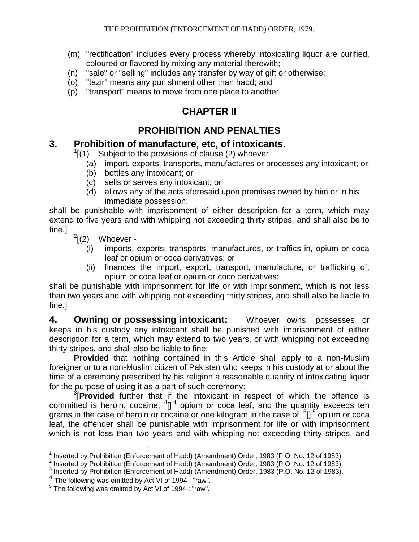- (m) "rectification" includes every process whereby intoxicating liquor are purified, coloured or flavored by mixing any material therewith;
- (n) "sale" or "selling" includes any transfer by way of gift or otherwise;
- (o) "tazir" means any punishment other than hadd; and
- (p) "transport" means to move from one place to another.

## **CHAPTER II**

## **PROHIBITION AND PENALTIES**

## **3. Prohibition of manufacture, etc, of intoxicants.**

- $1$ [(1) Subject to the provisions of clause (2) whoever
	- (a) import, exports, transports, manufactures or processes any intoxicant; or
	- (b) bottles any intoxicant; or
	- (c) sells or serves any intoxicant; or
	- (d) allows any of the acts aforesaid upon premises owned by him or in his immediate possession;

shall be punishable with imprisonment of either description for a term, which may extend to five years and with whipping not exceeding thirty stripes, and shall also be to fine.]

 $\int$ <sup>2</sup>[(2) Whoever -

- (i) imports, exports, transports, manufactures, or traffics in, opium or coca leaf or opium or coca derivatives; or
- (ii) finances the import, export, transport, manufacture, or trafficking of, opium or coca leaf or opium or coco derivatives;

shall be punishable with imprisonment for life or with imprisonment, which is not less than two years and with whipping not exceeding thirty stripes, and shall also be liable to fine.]

**4. Owning or possessing intoxicant:** Whoever owns, possesses or keeps in his custody any intoxicant shall be punished with imprisonment of either description for a term, which may extend to two years, or with whipping not exceeding thirty stripes, and shall also be liable to fine:

**Provided** that nothing contained in this Article shall apply to a non-Muslim foreigner or to a non-Muslim citizen of Pakistan who keeps in his custody at or about the time of a ceremony prescribed by his religion a reasonable quantity of intoxicating liquor for the purpose of using it as a part of such ceremony:

3 [**Provided** further that if the intoxicant in respect of which the offence is committed is heroin, cocaine,  ${}^{4}$ []<sup>4</sup> opium or coca leaf, and the quantity exceeds ten grams in the case of heroin or cocaine or one kilogram in the case of  $5$ [] $5$  opium or coca leaf, the offender shall be punishable with imprisonment for life or with imprisonment which is not less than two years and with whipping not exceeding thirty stripes, and

 $\overline{a}$ <sup>1</sup> Inserted by Prohibition (Enforcement of Hadd) (Amendment) Order, 1983 (P.O. No. 12 of 1983).

<sup>&</sup>lt;sup>2</sup> Inserted by Prohibition (Enforcement of Hadd) (Amendment) Order, 1983 (P.O. No. 12 of 1983).

<sup>&</sup>lt;sup>3</sup> Inserted by Prohibition (Enforcement of Hadd) (Amendment) Order, 1983 (P.O. No. 12 of 1983).

<sup>&</sup>lt;sup>4</sup> The following was omitted by Act VI of 1994 : "raw".

<sup>&</sup>lt;sup>5</sup> The following was omitted by Act VI of 1994 : "raw".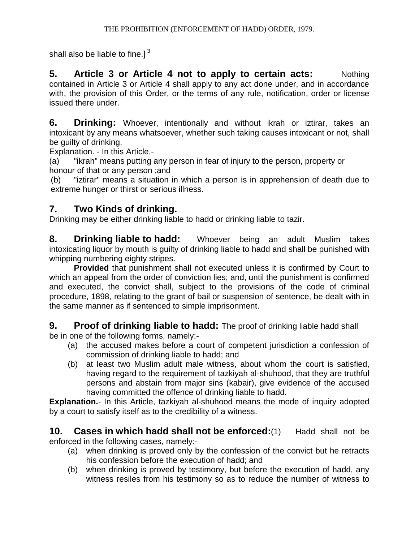shall also be liable to fine.] $<sup>3</sup>$ </sup>

**5. Article 3 or Article 4 not to apply to certain acts:** Nothing contained in Article 3 or Article 4 shall apply to any act done under, and in accordance with, the provision of this Order, or the terms of any rule, notification, order or license issued there under.

**6. Drinking:** Whoever, intentionally and without ikrah or iztirar, takes an intoxicant by any means whatsoever, whether such taking causes intoxicant or not, shall be guilty of drinking.

Explanation. - In this Article,-

(a) "ikrah" means putting any person in fear of injury to the person, property or honour of that or any person ;and

(b) "iztirar" means a situation in which a person is in apprehension of death due to extreme hunger or thirst or serious illness.

## **7. Two Kinds of drinking.**

Drinking may be either drinking liable to hadd or drinking liable to tazir.

**8. Drinking liable to hadd:** Whoever being an adult Muslim takes intoxicating liquor by mouth is guilty of drinking liable to hadd and shall be punished with whipping numbering eighty stripes.

**Provided** that punishment shall not executed unless it is confirmed by Court to which an appeal from the order of conviction lies; and, until the punishment is confirmed and executed, the convict shall, subject to the provisions of the code of criminal procedure, 1898, relating to the grant of bail or suspension of sentence, be dealt with in the same manner as if sentenced to simple imprisonment.

**9. Proof of drinking liable to hadd:** The proof of drinking liable hadd shall

be in one of the following forms, namely:-

- (a) the accused makes before a court of competent jurisdiction a confession of commission of drinking liable to hadd; and
- (b) at least two Muslim adult male witness, about whom the court is satisfied, having regard to the requirement of tazkiyah al-shuhood, that they are truthful persons and abstain from major sins (kabair), give evidence of the accused having committed the offence of drinking liable to hadd.

**Explanation.**- In this Article, tazkiyah al-shuhood means the mode of inquiry adopted by a court to satisfy itself as to the credibility of a witness.

**10. Cases in which hadd shall not be enforced:**(1) Hadd shall not be enforced in the following cases, namely:-

- (a) when drinking is proved only by the confession of the convict but he retracts his confession before the execution of hadd; and
- (b) when drinking is proved by testimony, but before the execution of hadd, any witness resiles from his testimony so as to reduce the number of witness to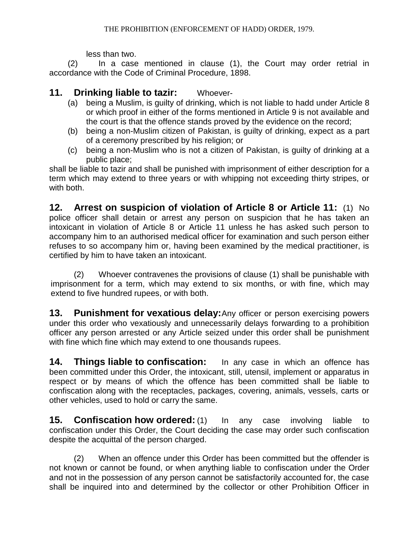less than two.

(2) In a case mentioned in clause (1), the Court may order retrial in accordance with the Code of Criminal Procedure, 1898.

## **11. Drinking liable to tazir:** Whoever-

- (a) being a Muslim, is guilty of drinking, which is not liable to hadd under Article 8 or which proof in either of the forms mentioned in Article 9 is not available and the court is that the offence stands proved by the evidence on the record;
- (b) being a non-Muslim citizen of Pakistan, is guilty of drinking, expect as a part of a ceremony prescribed by his religion; or
- (c) being a non-Muslim who is not a citizen of Pakistan, is guilty of drinking at a public place;

shall be liable to tazir and shall be punished with imprisonment of either description for a term which may extend to three years or with whipping not exceeding thirty stripes, or with both.

**12. Arrest on suspicion of violation of Article 8 or Article 11:** (1) No police officer shall detain or arrest any person on suspicion that he has taken an intoxicant in violation of Article 8 or Article 11 unless he has asked such person to accompany him to an authorised medical officer for examination and such person either refuses to so accompany him or, having been examined by the medical practitioner, is certified by him to have taken an intoxicant.

(2) Whoever contravenes the provisions of clause (1) shall be punishable with imprisonment for a term, which may extend to six months, or with fine, which may extend to five hundred rupees, or with both.

**13. Punishment for vexatious delay:**Any officer or person exercising powers under this order who vexatiously and unnecessarily delays forwarding to a prohibition officer any person arrested or any Article seized under this order shall be punishment with fine which fine which may extend to one thousands rupees.

**14. Things liable to confiscation:** In any case in which an offence has been committed under this Order, the intoxicant, still, utensil, implement or apparatus in respect or by means of which the offence has been committed shall be liable to confiscation along with the receptacles, packages, covering, animals, vessels, carts or other vehicles, used to hold or carry the same.

**15. Confiscation how ordered:** (1) In any case involving liable to confiscation under this Order, the Court deciding the case may order such confiscation despite the acquittal of the person charged.

(2) When an offence under this Order has been committed but the offender is not known or cannot be found, or when anything liable to confiscation under the Order and not in the possession of any person cannot be satisfactorily accounted for, the case shall be inquired into and determined by the collector or other Prohibition Officer in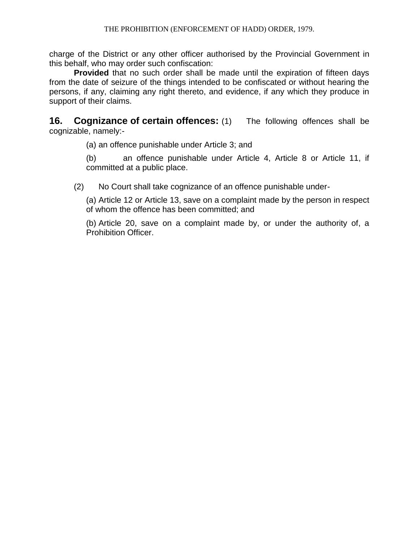charge of the District or any other officer authorised by the Provincial Government in this behalf, who may order such confiscation:

**Provided** that no such order shall be made until the expiration of fifteen days from the date of seizure of the things intended to be confiscated or without hearing the persons, if any, claiming any right thereto, and evidence, if any which they produce in support of their claims.

**16. Cognizance of certain offences:** (1) The following offences shall be cognizable, namely:-

(a) an offence punishable under Article 3; and

(b) an offence punishable under Article 4, Article 8 or Article 11, if committed at a public place.

(2) No Court shall take cognizance of an offence punishable under-

(a) Article 12 or Article 13, save on a complaint made by the person in respect of whom the offence has been committed; and

(b) Article 20, save on a complaint made by, or under the authority of, a Prohibition Officer.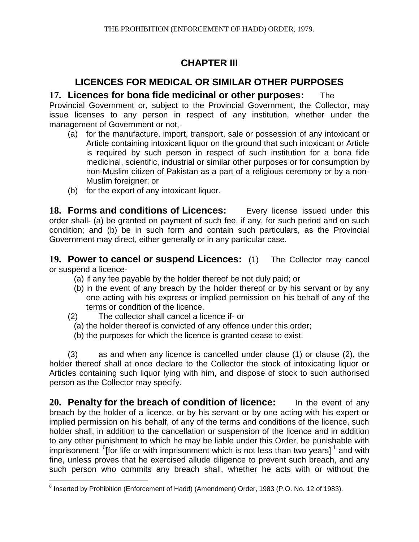## **CHAPTER III**

## **LICENCES FOR MEDICAL OR SIMILAR OTHER PURPOSES**

## **17. Licences for bona fide medicinal or other purposes:** The

Provincial Government or, subject to the Provincial Government, the Collector, may issue licenses to any person in respect of any institution, whether under the management of Government or not,-

- (a) for the manufacture, import, transport, sale or possession of any intoxicant or Article containing intoxicant liquor on the ground that such intoxicant or Article is required by such person in respect of such institution for a bona fide medicinal, scientific, industrial or similar other purposes or for consumption by non-Muslim citizen of Pakistan as a part of a religious ceremony or by a non-Muslim foreigner; or
- (b) for the export of any intoxicant liquor.

18. **Forms and conditions of Licences:** Every license issued under this order shall- (a) be granted on payment of such fee, if any, for such period and on such condition; and (b) be in such form and contain such particulars, as the Provincial Government may direct, either generally or in any particular case.

**19. Power to cancel or suspend Licences:** (1) The Collector may cancel or suspend a licence-

- (a) if any fee payable by the holder thereof be not duly paid; or
- (b) in the event of any breach by the holder thereof or by his servant or by any one acting with his express or implied permission on his behalf of any of the terms or condition of the licence.
- (2) The collector shall cancel a licence if- or
- (a) the holder thereof is convicted of any offence under this order;
- (b) the purposes for which the licence is granted cease to exist.

(3) as and when any licence is cancelled under clause (1) or clause (2), the holder thereof shall at once declare to the Collector the stock of intoxicating liquor or Articles containing such liquor lying with him, and dispose of stock to such authorised person as the Collector may specify.

**20. Penalty for the breach of condition of licence:** In the event of any breach by the holder of a licence, or by his servant or by one acting with his expert or implied permission on his behalf, of any of the terms and conditions of the licence, such holder shall, in addition to the cancellation or suspension of the licence and in addition to any other punishment to which he may be liable under this Order, be punishable with imprisonment  $6$ [for life or with imprisonment which is not less than two years]  $1$  and with fine, unless proves that he exercised allude diligence to prevent such breach, and any such person who commits any breach shall, whether he acts with or without the

 6 Inserted by Prohibition (Enforcement of Hadd) (Amendment) Order, 1983 (P.O. No. 12 of 1983).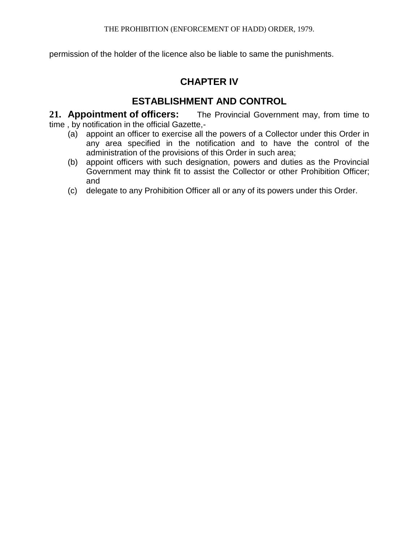permission of the holder of the licence also be liable to same the punishments.

## **CHAPTER IV**

## **ESTABLISHMENT AND CONTROL**

**21. Appointment of officers:** The Provincial Government may, from time to time , by notification in the official Gazette,-

- (a) appoint an officer to exercise all the powers of a Collector under this Order in any area specified in the notification and to have the control of the administration of the provisions of this Order in such area;
- (b) appoint officers with such designation, powers and duties as the Provincial Government may think fit to assist the Collector or other Prohibition Officer; and
- (c) delegate to any Prohibition Officer all or any of its powers under this Order.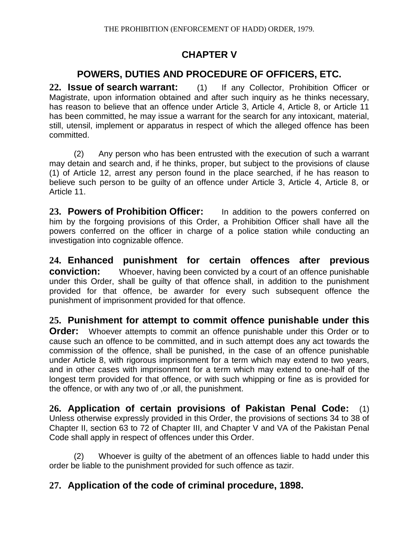## **CHAPTER V**

## **POWERS, DUTIES AND PROCEDURE OF OFFICERS, ETC.**

**22. Issue of search warrant:** (1) If any Collector, Prohibition Officer or Magistrate, upon information obtained and after such inquiry as he thinks necessary, has reason to believe that an offence under Article 3, Article 4, Article 8, or Article 11 has been committed, he may issue a warrant for the search for any intoxicant, material, still, utensil, implement or apparatus in respect of which the alleged offence has been committed.

(2) Any person who has been entrusted with the execution of such a warrant may detain and search and, if he thinks, proper, but subject to the provisions of clause (1) of Article 12, arrest any person found in the place searched, if he has reason to believe such person to be guilty of an offence under Article 3, Article 4, Article 8, or Article 11.

**23. Powers of Prohibition Officer:** In addition to the powers conferred on him by the forgoing provisions of this Order, a Prohibition Officer shall have all the powers conferred on the officer in charge of a police station while conducting an investigation into cognizable offence.

**24. Enhanced punishment for certain offences after previous conviction:** Whoever, having been convicted by a court of an offence punishable under this Order, shall be guilty of that offence shall, in addition to the punishment provided for that offence, be awarder for every such subsequent offence the punishment of imprisonment provided for that offence.

## **25. Punishment for attempt to commit offence punishable under this**

**Order:** Whoever attempts to commit an offence punishable under this Order or to cause such an offence to be committed, and in such attempt does any act towards the commission of the offence, shall be punished, in the case of an offence punishable under Article 8, with rigorous imprisonment for a term which may extend to two years, and in other cases with imprisonment for a term which may extend to one-half of the longest term provided for that offence, or with such whipping or fine as is provided for the offence, or with any two of ,or all, the punishment.

**26. Application of certain provisions of Pakistan Penal Code:** (1) Unless otherwise expressly provided in this Order, the provisions of sections 34 to 38 of Chapter II, section 63 to 72 of Chapter III, and Chapter V and VA of the Pakistan Penal Code shall apply in respect of offences under this Order.

(2) Whoever is guilty of the abetment of an offences liable to hadd under this order be liable to the punishment provided for such offence as tazir.

## **27. Application of the code of criminal procedure, 1898.**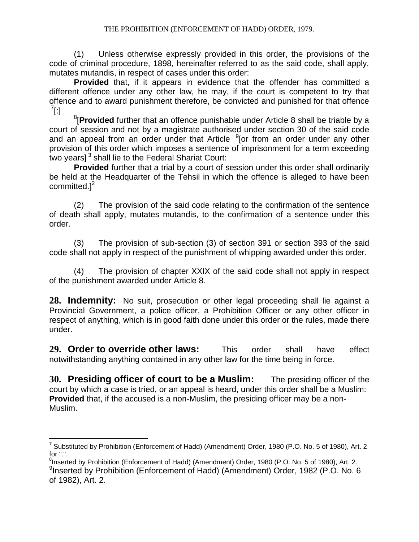#### THE PROHIBITION (ENFORCEMENT OF HADD) ORDER, 1979.

(1) Unless otherwise expressly provided in this order, the provisions of the code of criminal procedure, 1898, hereinafter referred to as the said code, shall apply, mutates mutandis, in respect of cases under this order:

**Provided** that, if it appears in evidence that the offender has committed a different offence under any other law, he may, if the court is competent to try that offence and to award punishment therefore, be convicted and punished for that offence  $^7$ [:]

8 [**Provided** further that an offence punishable under Article 8 shall be triable by a court of session and not by a magistrate authorised under section 30 of the said code and an appeal from an order under that Article  $9$ [or from an order under any other provision of this order which imposes a sentence of imprisonment for a term exceeding .<br>two years]<sup>3</sup> shall lie to the Federal Shariat Court:

**Provided** further that a trial by a court of session under this order shall ordinarily be held at the Headquarter of the Tehsil in which the offence is alleged to have been committed. $]^{2}$ 

(2) The provision of the said code relating to the confirmation of the sentence of death shall apply, mutates mutandis, to the confirmation of a sentence under this order.

(3) The provision of sub-section (3) of section 391 or section 393 of the said code shall not apply in respect of the punishment of whipping awarded under this order.

(4) The provision of chapter XXIX of the said code shall not apply in respect of the punishment awarded under Article 8.

**28. Indemnity:** No suit, prosecution or other legal proceeding shall lie against a Provincial Government, a police officer, a Prohibition Officer or any other officer in respect of anything, which is in good faith done under this order or the rules, made there under.

**29. Order to override other laws:** This order shall have effect notwithstanding anything contained in any other law for the time being in force.

**30. Presiding officer of court to be a Muslim:** The presiding officer of the court by which a case is tried, or an appeal is heard, under this order shall be a Muslim: **Provided** that, if the accused is a non-Muslim, the presiding officer may be a non-Muslim.

 $\overline{a}$ <sup>7</sup> Substituted by Prohibition (Enforcement of Hadd) (Amendment) Order, 1980 (P.O. No. 5 of 1980), Art. 2 for ".".

<sup>&</sup>lt;sup>8</sup>Inserted by Prohibition (Enforcement of Hadd) (Amendment) Order, 1980 (P.O. No. 5 of 1980), Art. 2. <sup>9</sup>Inserted by Prohibition (Enforcement of Hadd) (Amendment) Order, 1982 (P.O. No. 6 of 1982), Art. 2.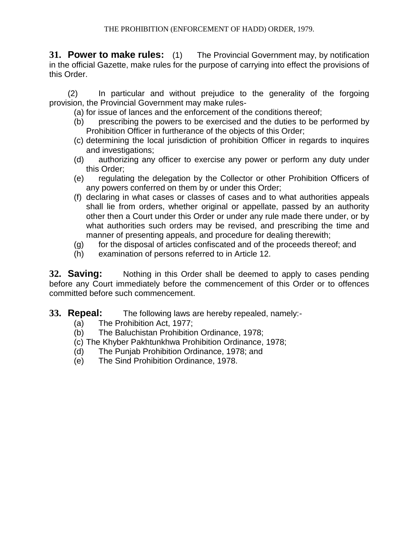**31. Power to make rules:** (1) The Provincial Government may, by notification in the official Gazette, make rules for the purpose of carrying into effect the provisions of this Order.

(2) In particular and without prejudice to the generality of the forgoing provision, the Provincial Government may make rules-

(a) for issue of lances and the enforcement of the conditions thereof;

- (b) prescribing the powers to be exercised and the duties to be performed by Prohibition Officer in furtherance of the objects of this Order;
- (c) determining the local jurisdiction of prohibition Officer in regards to inquires and investigations;
- (d) authorizing any officer to exercise any power or perform any duty under this Order;
- (e) regulating the delegation by the Collector or other Prohibition Officers of any powers conferred on them by or under this Order;
- (f) declaring in what cases or classes of cases and to what authorities appeals shall lie from orders, whether original or appellate, passed by an authority other then a Court under this Order or under any rule made there under, or by what authorities such orders may be revised, and prescribing the time and manner of presenting appeals, and procedure for dealing therewith;
- (g) for the disposal of articles confiscated and of the proceeds thereof; and
- (h) examination of persons referred to in Article 12.

**32. Saving:** Nothing in this Order shall be deemed to apply to cases pending before any Court immediately before the commencement of this Order or to offences committed before such commencement.

- **33. Repeal:** The following laws are hereby repealed, namely:-
	- (a) The Prohibition Act, 1977;
	- (b) The Baluchistan Prohibition Ordinance, 1978;
	- (c) The Khyber Pakhtunkhwa Prohibition Ordinance, 1978;
	- (d) The Punjab Prohibition Ordinance, 1978; and
	- (e) The Sind Prohibition Ordinance, 1978.